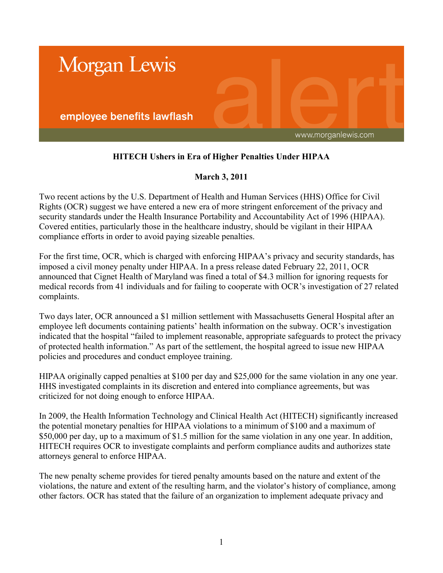

## **HITECH Ushers in Era of Higher Penalties Under HIPAA**

## **March 3, 2011**

Two recent actions by the U.S. Department of Health and Human Services (HHS) Office for Civil Rights (OCR) suggest we have entered a new era of more stringent enforcement of the privacy and security standards under the Health Insurance Portability and Accountability Act of 1996 (HIPAA). Covered entities, particularly those in the healthcare industry, should be vigilant in their HIPAA compliance efforts in order to avoid paying sizeable penalties.

For the first time, OCR, which is charged with enforcing HIPAA's privacy and security standards, has imposed a civil money penalty under HIPAA. In a press release dated February 22, 2011, OCR announced that Cignet Health of Maryland was fined a total of \$4.3 million for ignoring requests for medical records from 41 individuals and for failing to cooperate with OCR's investigation of 27 related complaints.

Two days later, OCR announced a \$1 million settlement with Massachusetts General Hospital after an employee left documents containing patients' health information on the subway. OCR's investigation indicated that the hospital "failed to implement reasonable, appropriate safeguards to protect the privacy of protected health information." As part of the settlement, the hospital agreed to issue new HIPAA policies and procedures and conduct employee training.

HIPAA originally capped penalties at \$100 per day and \$25,000 for the same violation in any one year. HHS investigated complaints in its discretion and entered into compliance agreements, but was criticized for not doing enough to enforce HIPAA.

In 2009, the Health Information Technology and Clinical Health Act (HITECH) significantly increased the potential monetary penalties for HIPAA violations to a minimum of \$100 and a maximum of \$50,000 per day, up to a maximum of \$1.5 million for the same violation in any one year. In addition, HITECH requires OCR to investigate complaints and perform compliance audits and authorizes state attorneys general to enforce HIPAA.

The new penalty scheme provides for tiered penalty amounts based on the nature and extent of the violations, the nature and extent of the resulting harm, and the violator's history of compliance, among other factors. OCR has stated that the failure of an organization to implement adequate privacy and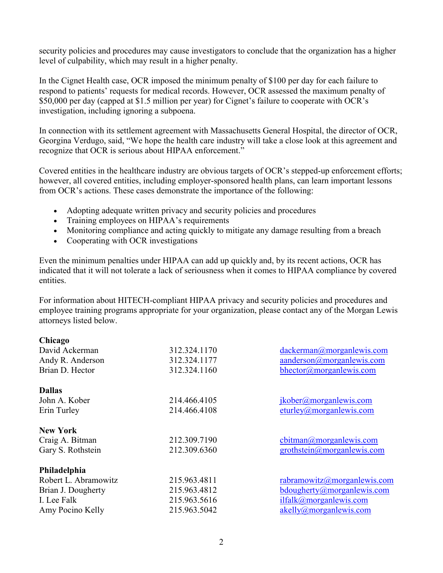security policies and procedures may cause investigators to conclude that the organization has a higher level of culpability, which may result in a higher penalty.

In the Cignet Health case, OCR imposed the minimum penalty of \$100 per day for each failure to respond to patients' requests for medical records. However, OCR assessed the maximum penalty of \$50,000 per day (capped at \$1.5 million per year) for Cignet's failure to cooperate with OCR's investigation, including ignoring a subpoena.

In connection with its settlement agreement with Massachusetts General Hospital, the director of OCR, Georgina Verdugo, said, "We hope the health care industry will take a close look at this agreement and recognize that OCR is serious about HIPAA enforcement."

Covered entities in the healthcare industry are obvious targets of OCR's stepped-up enforcement efforts; however, all covered entities, including employer-sponsored health plans, can learn important lessons from OCR's actions. These cases demonstrate the importance of the following:

- Adopting adequate written privacy and security policies and procedures
- Training employees on HIPAA's requirements
- Monitoring compliance and acting quickly to mitigate any damage resulting from a breach
- Cooperating with OCR investigations

Even the minimum penalties under HIPAA can add up quickly and, by its recent actions, OCR has indicated that it will not tolerate a lack of seriousness when it comes to HIPAA compliance by covered entities.

For information about HITECH-compliant HIPAA privacy and security policies and procedures and employee training programs appropriate for your organization, please contact any of the Morgan Lewis attorneys listed below.

| Chicago              |              |                                         |
|----------------------|--------------|-----------------------------------------|
| David Ackerman       | 312.324.1170 | dackerman@morganlewis.com               |
| Andy R. Anderson     | 312.324.1177 | aanderson@morganlewis.com               |
| Brian D. Hector      | 312.324.1160 | bhector@morganlewis.com                 |
| <b>Dallas</b>        |              |                                         |
| John A. Kober        | 214.466.4105 | jkober@morganlewis.com                  |
| Erin Turley          | 214.466.4108 | $\text{eturley}(a)$ morgan lewis.com    |
| <b>New York</b>      |              |                                         |
| Craig A. Bitman      | 212.309.7190 | cbitman@morganlewis.com                 |
| Gary S. Rothstein    | 212.309.6360 | $grothstein(\partial)$ morgan lewis.com |
| Philadelphia         |              |                                         |
| Robert L. Abramowitz | 215.963.4811 | rabramowitz@moreanlewis.com             |
| Brian J. Dougherty   | 215.963.4812 | $b$ dougherty@morganlewis.com           |
| I. Lee Falk          | 215.963.5616 | ilfalk@morganlewis.com                  |
| Amy Pocino Kelly     | 215.963.5042 | akelly@morganlewis.com                  |
|                      |              |                                         |